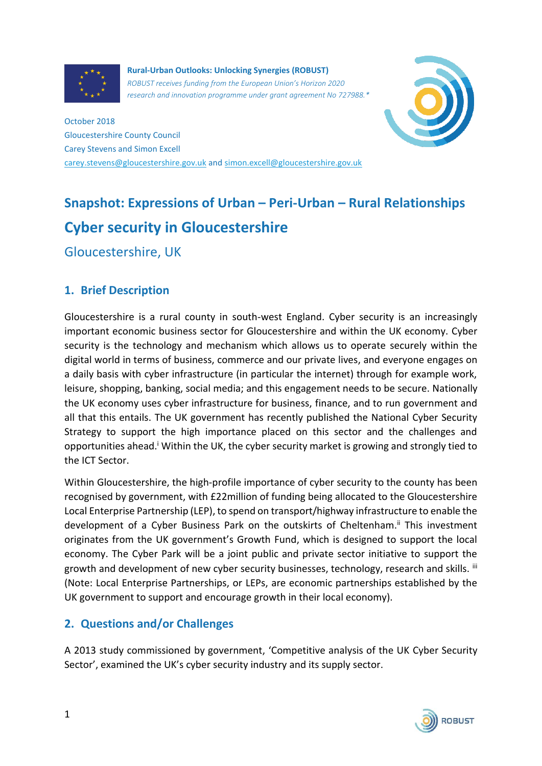

**Rural-Urban Outlooks: Unlocking Synergies (ROBUST)** *ROBUST receives funding from the European Union's Horizon 2020 research and innovation programme under grant agreement No 727988.\**



October 2018 Gloucestershire County Council Carey Stevens and Simon Excell [carey.stevens@gloucestershire.gov.uk](mailto:carey.stevens@gloucestershire.gov.uk) and [simon.excell@gloucestershire.gov.uk](mailto:simon.excell@gloucestershire.gov.uk)

# **Snapshot: Expressions of Urban – Peri-Urban – Rural Relationships Cyber security in Gloucestershire**

Gloucestershire, UK

# **1. Brief Description**

Gloucestershire is a rural county in south-west England. Cyber security is an increasingly important economic business sector for Gloucestershire and within the UK economy. Cyber security is the technology and mechanism which allows us to operate securely within the digital world in terms of business, commerce and our private lives, and everyone engages on a daily basis with cyber infrastructure (in particular the internet) through for example work, leisure, shopping, banking, social media; and this engagement needs to be secure. Nationally the UK economy uses cyber infrastructure for business, finance, and to run government and all that this entails. The UK government has recently published the National Cyber Security Strategy to support the high importance placed on this sector and the challenges and opportunities ahead.<sup>i</sup> Within the UK, the cyber security market is growing and strongly tied to the ICT Sector.

Within Gloucestershire, the high-profile importance of cyber security to the county has been recognised by government, with £22million of funding being allocated to the Gloucestershire Local Enterprise Partnership (LEP), to spend on transport/highway infrastructure to enable the development of a Cyber Business Park on the outskirts of Cheltenham.<sup>ii</sup> This investment originates from the UK government's Growth Fund, which is designed to support the local economy. The Cyber Park will be a joint public and private sector initiative to support the growth and development of new cyber security businesses, technology, research and skills. III (Note: Local Enterprise Partnerships, or LEPs, are economic partnerships established by the UK government to support and encourage growth in their local economy).

# **2. Questions and/or Challenges**

A 2013 study commissioned by government, 'Competitive analysis of the UK Cyber Security Sector', examined the UK's cyber security industry and its supply sector.

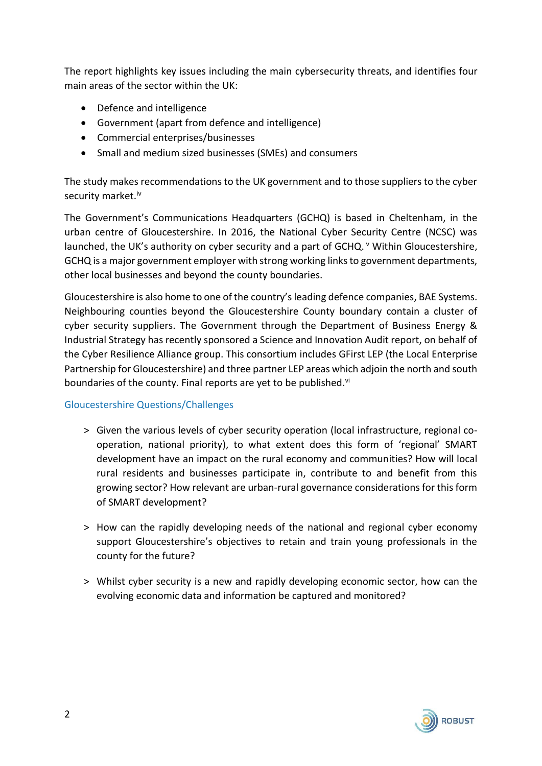The report highlights key issues including the main cybersecurity threats, and identifies four main areas of the sector within the UK:

- Defence and intelligence
- Government (apart from defence and intelligence)
- Commercial enterprises/businesses
- Small and medium sized businesses (SMEs) and consumers

The study makes recommendations to the UK government and to those suppliers to the cyber security market.<sup>iv</sup>

The Government's Communications Headquarters (GCHQ) is based in Cheltenham, in the urban centre of Gloucestershire. In 2016, the National Cyber Security Centre (NCSC) was launched, the UK's authority on cyber security and a part of GCHQ. *V* Within Gloucestershire, GCHQ is a major government employer with strong working links to government departments, other local businesses and beyond the county boundaries.

Gloucestershire is also home to one of the country's leading defence companies, BAE Systems. Neighbouring counties beyond the Gloucestershire County boundary contain a cluster of cyber security suppliers. The Government through the Department of Business Energy & Industrial Strategy has recently sponsored a Science and Innovation Audit report, on behalf of the Cyber Resilience Alliance group. This consortium includes GFirst LEP (the Local Enterprise Partnership for Gloucestershire) and three partner LEP areas which adjoin the north and south boundaries of the county. Final reports are yet to be published.vi

#### Gloucestershire Questions/Challenges

- ˃ Given the various levels of cyber security operation (local infrastructure, regional cooperation, national priority), to what extent does this form of 'regional' SMART development have an impact on the rural economy and communities? How will local rural residents and businesses participate in, contribute to and benefit from this growing sector? How relevant are urban-rural governance considerations for this form of SMART development?
- > How can the rapidly developing needs of the national and regional cyber economy support Gloucestershire's objectives to retain and train young professionals in the county for the future?
- ˃ Whilst cyber security is a new and rapidly developing economic sector, how can the evolving economic data and information be captured and monitored?

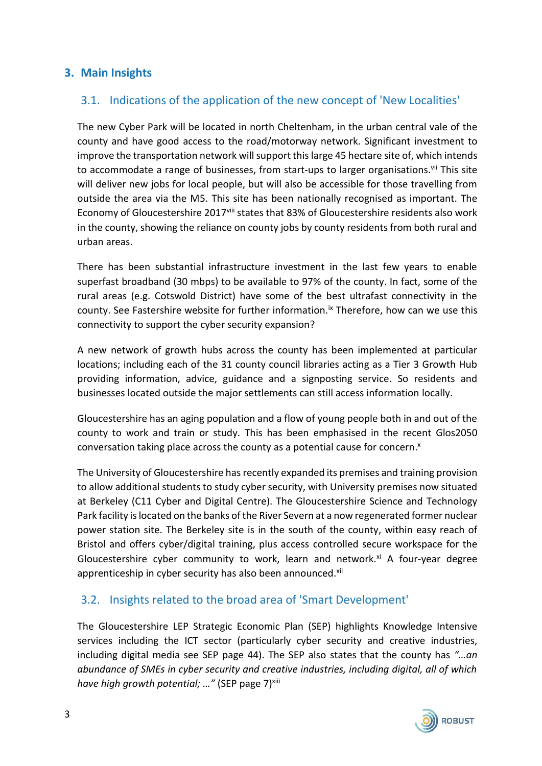### **3. Main Insights**

## 3.1. Indications of the application of the new concept of 'New Localities'

The new Cyber Park will be located in north Cheltenham, in the urban central vale of the county and have good access to the road/motorway network. Significant investment to improve the transportation network will support this large 45 hectare site of, which intends to accommodate a range of businesses, from start-ups to larger organisations.<sup>vii</sup> This site will deliver new jobs for local people, but will also be accessible for those travelling from outside the area via the M5. This site has been nationally recognised as important. The Economy of Gloucestershire 2017<sup>viii</sup> states that 83% of Gloucestershire residents also work in the county, showing the reliance on county jobs by county residents from both rural and urban areas.

There has been substantial infrastructure investment in the last few years to enable superfast broadband (30 mbps) to be available to 97% of the county. In fact, some of the rural areas (e.g. Cotswold District) have some of the best ultrafast connectivity in the county. See Fastershire website for further information.<sup>ix</sup> Therefore, how can we use this connectivity to support the cyber security expansion?

A new network of growth hubs across the county has been implemented at particular locations; including each of the 31 county council libraries acting as a Tier 3 Growth Hub providing information, advice, guidance and a signposting service. So residents and businesses located outside the major settlements can still access information locally.

Gloucestershire has an aging population and a flow of young people both in and out of the county to work and train or study. This has been emphasised in the recent Glos2050 conversation taking place across the county as a potential cause for concern.<sup>x</sup>

The University of Gloucestershire has recently expanded its premises and training provision to allow additional students to study cyber security, with University premises now situated at Berkeley (C11 Cyber and Digital Centre). The Gloucestershire Science and Technology Park facility is located on the banks of the River Severn at a now regenerated former nuclear power station site. The Berkeley site is in the south of the county, within easy reach of Bristol and offers cyber/digital training, plus access controlled secure workspace for the Gloucestershire cyber community to work, learn and network. $x^i$  A four-year degree apprenticeship in cyber security has also been announced.<sup>xii</sup>

#### 3.2. Insights related to the broad area of 'Smart Development'

The Gloucestershire LEP Strategic Economic Plan (SEP) highlights Knowledge Intensive services including the ICT sector (particularly cyber security and creative industries, including digital media see SEP page 44). The SEP also states that the county has *"…an abundance of SMEs in cyber security and creative industries, including digital, all of which have high growth potential; ...*" (SEP page 7)<sup>xiii</sup>

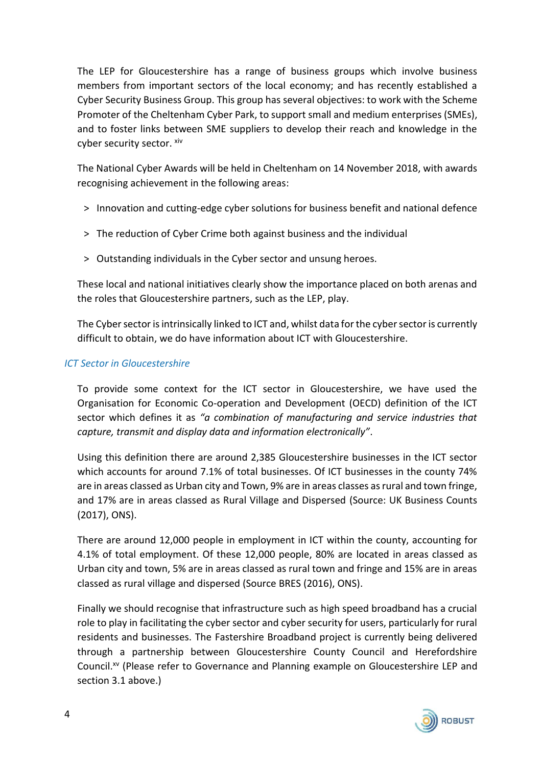The LEP for Gloucestershire has a range of business groups which involve business members from important sectors of the local economy; and has recently established a Cyber Security Business Group. This group has several objectives: to work with the Scheme Promoter of the Cheltenham Cyber Park, to support small and medium enterprises (SMEs), and to foster links between SME suppliers to develop their reach and knowledge in the cyber security sector. xiv

The National Cyber Awards will be held in Cheltenham on 14 November 2018, with awards recognising achievement in the following areas:

- > Innovation and cutting-edge cyber solutions for business benefit and national defence
- ˃ The reduction of Cyber Crime both against business and the individual
- ˃ Outstanding individuals in the Cyber sector and unsung heroes.

These local and national initiatives clearly show the importance placed on both arenas and the roles that Gloucestershire partners, such as the LEP, play.

The Cyber sector is intrinsically linked to ICT and, whilst data for the cyber sector is currently difficult to obtain, we do have information about ICT with Gloucestershire.

#### *ICT Sector in Gloucestershire*

To provide some context for the ICT sector in Gloucestershire, we have used the Organisation for Economic Co-operation and Development (OECD) definition of the ICT sector which defines it as *"a combination of manufacturing and service industries that capture, transmit and display data and information electronically"*.

Using this definition there are around 2,385 Gloucestershire businesses in the ICT sector which accounts for around 7.1% of total businesses. Of ICT businesses in the county 74% are in areas classed as Urban city and Town, 9% are in areas classes as rural and town fringe, and 17% are in areas classed as Rural Village and Dispersed (Source: UK Business Counts (2017), ONS).

There are around 12,000 people in employment in ICT within the county, accounting for 4.1% of total employment. Of these 12,000 people, 80% are located in areas classed as Urban city and town, 5% are in areas classed as rural town and fringe and 15% are in areas classed as rural village and dispersed (Source BRES (2016), ONS).

Finally we should recognise that infrastructure such as high speed broadband has a crucial role to play in facilitating the cyber sector and cyber security for users, particularly for rural residents and businesses. The Fastershire Broadband project is currently being delivered through a partnership between Gloucestershire County Council and Herefordshire Council.xv (Please refer to Governance and Planning example on Gloucestershire LEP and section 3.1 above.)

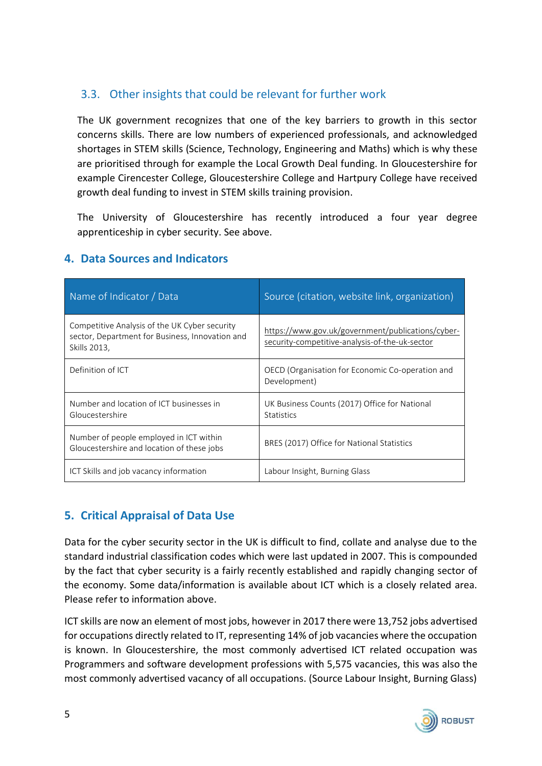# 3.3. Other insights that could be relevant for further work

The UK government recognizes that one of the key barriers to growth in this sector concerns skills. There are low numbers of experienced professionals, and acknowledged shortages in STEM skills (Science, Technology, Engineering and Maths) which is why these are prioritised through for example the Local Growth Deal funding. In Gloucestershire for example Cirencester College, Gloucestershire College and Hartpury College have received growth deal funding to invest in STEM skills training provision.

The University of Gloucestershire has recently introduced a four year degree apprenticeship in cyber security. See above.

| Name of Indicator / Data                                                                                         | Source (citation, website link, organization)                                                       |
|------------------------------------------------------------------------------------------------------------------|-----------------------------------------------------------------------------------------------------|
| Competitive Analysis of the UK Cyber security<br>sector, Department for Business, Innovation and<br>Skills 2013, | https://www.gov.uk/government/publications/cyber-<br>security-competitive-analysis-of-the-uk-sector |
| Definition of ICT                                                                                                | OECD (Organisation for Economic Co-operation and<br>Development)                                    |
| Number and location of ICT businesses in<br>Gloucestershire                                                      | UK Business Counts (2017) Office for National<br><b>Statistics</b>                                  |
| Number of people employed in ICT within<br>Gloucestershire and location of these jobs                            | BRES (2017) Office for National Statistics                                                          |
| ICT Skills and job vacancy information                                                                           | Labour Insight, Burning Glass                                                                       |

## **4. Data Sources and Indicators**

# **5. Critical Appraisal of Data Use**

Data for the cyber security sector in the UK is difficult to find, collate and analyse due to the standard industrial classification codes which were last updated in 2007. This is compounded by the fact that cyber security is a fairly recently established and rapidly changing sector of the economy. Some data/information is available about ICT which is a closely related area. Please refer to information above.

ICT skills are now an element of most jobs, however in 2017 there were 13,752 jobs advertised for occupations directly related to IT, representing 14% of job vacancies where the occupation is known. In Gloucestershire, the most commonly advertised ICT related occupation was Programmers and software development professions with 5,575 vacancies, this was also the most commonly advertised vacancy of all occupations. (Source Labour Insight, Burning Glass)